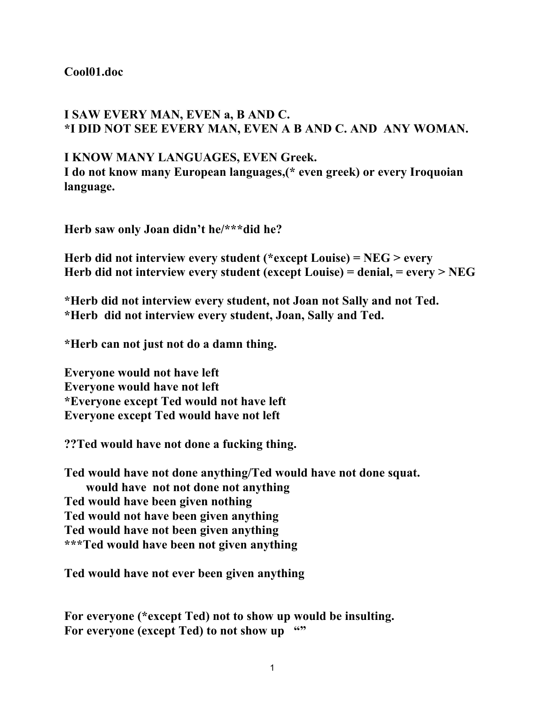## **Cool01.doc**

## **I SAW EVERY MAN, EVEN a, B AND C. \*I DID NOT SEE EVERY MAN, EVEN A B AND C. AND ANY WOMAN.**

## **I KNOW MANY LANGUAGES, EVEN Greek.**

**I do not know many European languages,(\* even greek) or every Iroquoian language.**

**Herb saw only Joan didn't he/\*\*\*did he?**

**Herb did not interview every student (\*except Louise) = NEG > every Herb did not interview every student (except Louise) = denial, = every > NEG**

**\*Herb did not interview every student, not Joan not Sally and not Ted. \*Herb did not interview every student, Joan, Sally and Ted.**

**\*Herb can not just not do a damn thing.**

**Everyone would not have left Everyone would have not left \*Everyone except Ted would not have left Everyone except Ted would have not left**

**??Ted would have not done a fucking thing.**

**Ted would have not done anything/Ted would have not done squat. would have not not done not anything Ted would have been given nothing Ted would not have been given anything Ted would have not been given anything \*\*\*Ted would have been not given anything**

**Ted would have not ever been given anything**

**For everyone (\*except Ted) not to show up would be insulting.** For everyone (except Ted) to not show up ""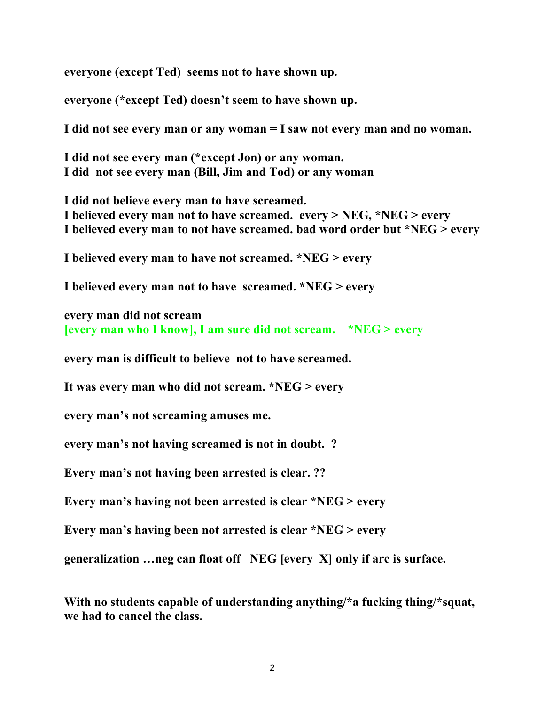**everyone (except Ted) seems not to have shown up.**

**everyone (\*except Ted) doesn't seem to have shown up.**

**I did not see every man or any woman = I saw not every man and no woman.**

**I did not see every man (\*except Jon) or any woman. I did not see every man (Bill, Jim and Tod) or any woman**

**I did not believe every man to have screamed. I believed every man not to have screamed. every > NEG, \*NEG > every I believed every man to not have screamed. bad word order but \*NEG > every**

**I believed every man to have not screamed. \*NEG > every**

**I believed every man not to have screamed. \*NEG > every**

```
every man did not scream
[every man who I know], I am sure did not scream. *NEG > every
```
**every man is difficult to believe not to have screamed.**

**It was every man who did not scream. \*NEG > every** 

**every man's not screaming amuses me.** 

**every man's not having screamed is not in doubt. ?**

**Every man's not having been arrested is clear. ??**

**Every man's having not been arrested is clear \*NEG > every**

**Every man's having been not arrested is clear \*NEG > every**

**generalization …neg can float off NEG [every X] only if arc is surface.**

**With no students capable of understanding anything/\*a fucking thing/\*squat, we had to cancel the class.**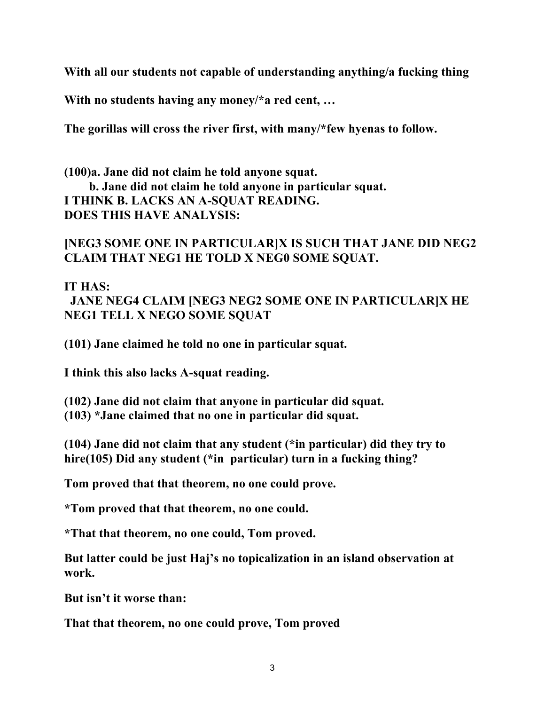**With all our students not capable of understanding anything/a fucking thing**

**With no students having any money/\*a red cent, …**

**The gorillas will cross the river first, with many/\*few hyenas to follow.**

**(100)a. Jane did not claim he told anyone squat. b. Jane did not claim he told anyone in particular squat. I THINK B. LACKS AN A-SQUAT READING. DOES THIS HAVE ANALYSIS:**

## **[NEG3 SOME ONE IN PARTICULAR]X IS SUCH THAT JANE DID NEG2 CLAIM THAT NEG1 HE TOLD X NEG0 SOME SQUAT.**

**IT HAS:**

 **JANE NEG4 CLAIM [NEG3 NEG2 SOME ONE IN PARTICULAR]X HE NEG1 TELL X NEGO SOME SQUAT**

**(101) Jane claimed he told no one in particular squat.**

**I think this also lacks A-squat reading.**

**(102) Jane did not claim that anyone in particular did squat. (103) \*Jane claimed that no one in particular did squat.**

**(104) Jane did not claim that any student (\*in particular) did they try to hire(105) Did any student (\*in particular) turn in a fucking thing?**

**Tom proved that that theorem, no one could prove.**

**\*Tom proved that that theorem, no one could.**

**\*That that theorem, no one could, Tom proved.**

**But latter could be just Haj's no topicalization in an island observation at work.**

**But isn't it worse than:**

**That that theorem, no one could prove, Tom proved**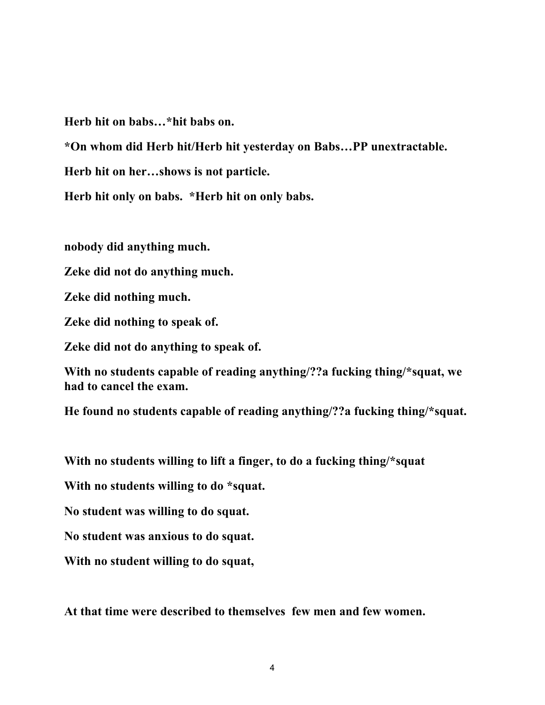**Herb hit on babs…\*hit babs on.**

**\*On whom did Herb hit/Herb hit yesterday on Babs…PP unextractable.**

**Herb hit on her…shows is not particle.**

**Herb hit only on babs. \*Herb hit on only babs.**

**nobody did anything much.**

**Zeke did not do anything much.**

**Zeke did nothing much.**

**Zeke did nothing to speak of.**

**Zeke did not do anything to speak of.**

**With no students capable of reading anything/??a fucking thing/\*squat, we had to cancel the exam.**

**He found no students capable of reading anything/??a fucking thing/\*squat.**

**With no students willing to lift a finger, to do a fucking thing/\*squat**

**With no students willing to do \*squat.**

**No student was willing to do squat.**

**No student was anxious to do squat.**

**With no student willing to do squat,**

**At that time were described to themselves few men and few women.**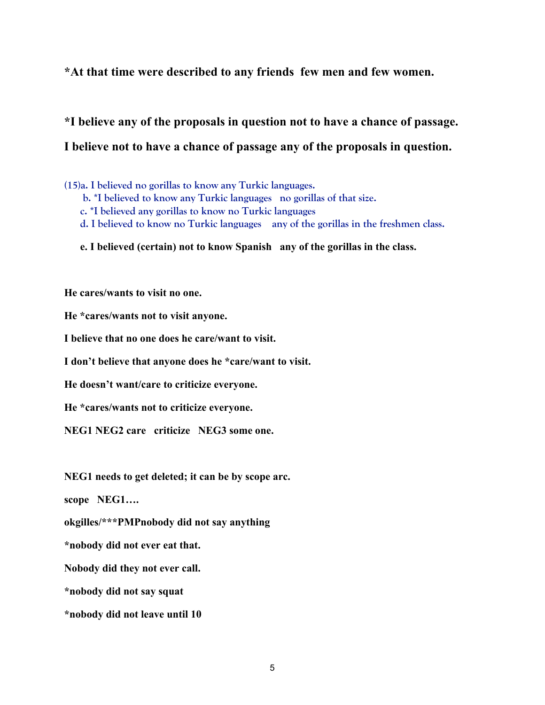**\*At that time were described to any friends few men and few women.**

**\*I believe any of the proposals in question not to have a chance of passage. I believe not to have a chance of passage any of the proposals in question.**

**(15)a. I believed no gorillas to know any Turkic languages.**

- **b. \*I believed to know any Turkic languages no gorillas of that size.**
- **c. \*I believed any gorillas to know no Turkic languages**
- **d. I believed to know no Turkic languages any of the gorillas in the freshmen class.**
- **e. I believed (certain) not to know Spanish any of the gorillas in the class.**

**He cares/wants to visit no one.**

**He \*cares/wants not to visit anyone.**

**I believe that no one does he care/want to visit.**

**I don't believe that anyone does he \*care/want to visit.**

**He doesn't want/care to criticize everyone.**

**He \*cares/wants not to criticize everyone.**

**NEG1 NEG2 care criticize NEG3 some one.**

**NEG1 needs to get deleted; it can be by scope arc.**

**scope NEG1….**

**okgilles/\*\*\*PMPnobody did not say anything**

**\*nobody did not ever eat that.**

**Nobody did they not ever call.**

**\*nobody did not say squat**

**\*nobody did not leave until 10**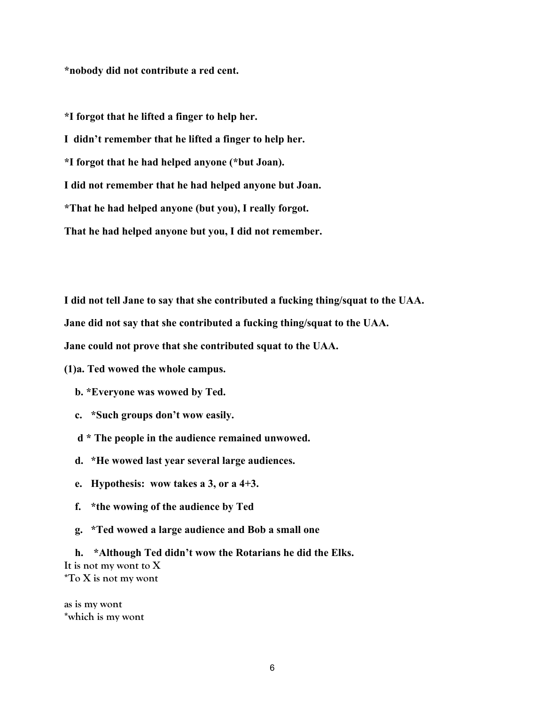**\*nobody did not contribute a red cent.**

**\*I forgot that he lifted a finger to help her.**

**I didn't remember that he lifted a finger to help her.**

**\*I forgot that he had helped anyone (\*but Joan).**

**I did not remember that he had helped anyone but Joan.**

**\*That he had helped anyone (but you), I really forgot.**

**That he had helped anyone but you, I did not remember.**

**I did not tell Jane to say that she contributed a fucking thing/squat to the UAA.**

**Jane did not say that she contributed a fucking thing/squat to the UAA.**

**Jane could not prove that she contributed squat to the UAA.**

**(1)a. Ted wowed the whole campus.**

 **b. \*Everyone was wowed by Ted.**

**c. \*Such groups don't wow easily.**

 **d \* The people in the audience remained unwowed.**

**d. \*He wowed last year several large audiences.**

**e. Hypothesis: wow takes a 3, or a 4+3.**

**f. \*the wowing of the audience by Ted**

**g. \*Ted wowed a large audience and Bob a small one**

**h. \*Although Ted didn't wow the Rotarians he did the Elks. It is not my wont to X \*To X is not my wont**

**as is my wont \*which is my wont**